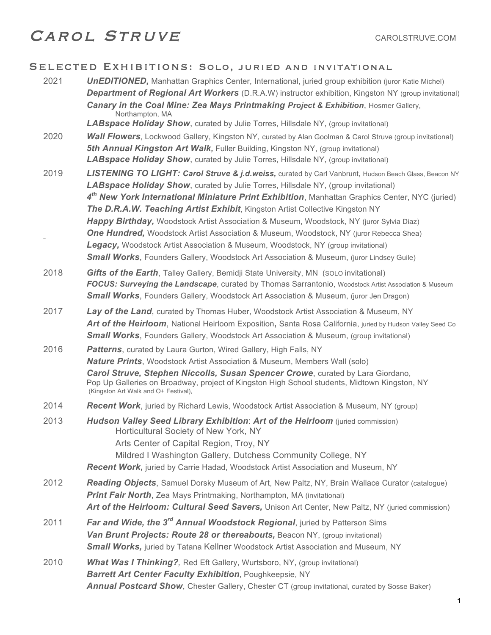## SELECTED EXHIBITIONS: SOLO, JURIED AND INVITATIONAL

| 2021 | <b>UnEDITIONED,</b> Manhattan Graphics Center, International, juried group exhibition (juror Katie Michel)                                                                                                                                                                                                |
|------|-----------------------------------------------------------------------------------------------------------------------------------------------------------------------------------------------------------------------------------------------------------------------------------------------------------|
|      | <b>Department of Regional Art Workers</b> (D.R.A.W) instructor exhibition, Kingston NY (group invitational)                                                                                                                                                                                               |
|      | Canary in the Coal Mine: Zea Mays Printmaking Project & Exhibition, Hosmer Gallery,<br>Northampton, MA                                                                                                                                                                                                    |
|      | LABspace Holiday Show, curated by Julie Torres, Hillsdale NY, (group invitational)                                                                                                                                                                                                                        |
| 2020 | <b>Wall Flowers</b> , Lockwood Gallery, Kingston NY, curated by Alan Goolman & Carol Struve (group invitational)                                                                                                                                                                                          |
|      | 5th Annual Kingston Art Walk, Fuller Building, Kingston NY, (group invitational)                                                                                                                                                                                                                          |
|      | LABspace Holiday Show, curated by Julie Torres, Hillsdale NY, (group invitational)                                                                                                                                                                                                                        |
| 2019 | LISTENING TO LIGHT: Carol Struve & j.d.weiss, curated by Carl Vanbrunt, Hudson Beach Glass, Beacon NY<br>LABspace Holiday Show, curated by Julie Torres, Hillsdale NY, (group invitational)<br>4 <sup>th</sup> New York International Miniature Print Exhibition, Manhattan Graphics Center, NYC (juried) |
|      | <b>The D.R.A.W. Teaching Artist Exhibit, Kingston Artist Collective Kingston NY</b>                                                                                                                                                                                                                       |
|      | Happy Birthday, Woodstock Artist Association & Museum, Woodstock, NY (juror Sylvia Diaz)                                                                                                                                                                                                                  |
|      | <b>One Hundred,</b> Woodstock Artist Association & Museum, Woodstock, NY (juror Rebecca Shea)                                                                                                                                                                                                             |
|      | <b>Legacy, Woodstock Artist Association &amp; Museum, Woodstock, NY (group invitational)</b>                                                                                                                                                                                                              |
|      | <b>Small Works</b> , Founders Gallery, Woodstock Art Association & Museum, (juror Lindsey Guile)                                                                                                                                                                                                          |
| 2018 | <b>Gifts of the Earth</b> , Talley Gallery, Bemidji State University, MN (SOLO invitational)<br>FOCUS: Surveying the Landscape, curated by Thomas Sarrantonio, Woodstock Artist Association & Museum<br><b>Small Works</b> , Founders Gallery, Woodstock Art Association & Museum, (juror Jen Dragon)     |
| 2017 | Lay of the Land, curated by Thomas Huber, Woodstock Artist Association & Museum, NY                                                                                                                                                                                                                       |
|      | Art of the Heirloom, National Heirloom Exposition, Santa Rosa California, juried by Hudson Valley Seed Co<br><b>Small Works</b> , Founders Gallery, Woodstock Art Association & Museum, (group invitational)                                                                                              |
|      |                                                                                                                                                                                                                                                                                                           |
| 2016 | <b>Patterns</b> , curated by Laura Gurton, Wired Gallery, High Falls, NY                                                                                                                                                                                                                                  |
|      | <b>Nature Prints</b> , Woodstock Artist Association & Museum, Members Wall (solo)<br>Carol Struve, Stephen Niccolls, Susan Spencer Crowe, curated by Lara Giordano,                                                                                                                                       |
|      | Pop Up Galleries on Broadway, project of Kingston High School students, Midtown Kingston, NY                                                                                                                                                                                                              |
|      | (Kingston Art Walk and O+ Festival),                                                                                                                                                                                                                                                                      |
| 2014 | <b>Recent Work, juried by Richard Lewis, Woodstock Artist Association &amp; Museum, NY (group)</b>                                                                                                                                                                                                        |
| 2013 | <b>Hudson Valley Seed Library Exhibition: Art of the Heirloom (juried commission)</b><br>Horticultural Society of New York, NY                                                                                                                                                                            |
|      | Arts Center of Capital Region, Troy, NY                                                                                                                                                                                                                                                                   |
|      | Mildred I Washington Gallery, Dutchess Community College, NY                                                                                                                                                                                                                                              |
|      | Recent Work, juried by Carrie Hadad, Woodstock Artist Association and Museum, NY                                                                                                                                                                                                                          |
| 2012 | Reading Objects, Samuel Dorsky Museum of Art, New Paltz, NY, Brain Wallace Curator (catalogue)                                                                                                                                                                                                            |
|      | <b>Print Fair North</b> , Zea Mays Printmaking, Northampton, MA (invitational)                                                                                                                                                                                                                            |
|      | Art of the Heirloom: Cultural Seed Savers, Unison Art Center, New Paltz, NY (juried commission)                                                                                                                                                                                                           |
|      |                                                                                                                                                                                                                                                                                                           |
| 2011 | Far and Wide, the 3 <sup>rd</sup> Annual Woodstock Regional, juried by Patterson Sims                                                                                                                                                                                                                     |
|      | Van Brunt Projects: Route 28 or thereabouts, Beacon NY, (group invitational)                                                                                                                                                                                                                              |
|      | <b>Small Works, juried by Tatana Kellner Woodstock Artist Association and Museum, NY</b>                                                                                                                                                                                                                  |
| 2010 | <b>What Was I Thinking?</b> , Red Eft Gallery, Wurtsboro, NY, (group invitational)                                                                                                                                                                                                                        |
|      | <b>Barrett Art Center Faculty Exhibition, Poughkeepsie, NY</b>                                                                                                                                                                                                                                            |
|      | Annual Postcard Show, Chester Gallery, Chester CT (group invitational, curated by Sosse Baker)                                                                                                                                                                                                            |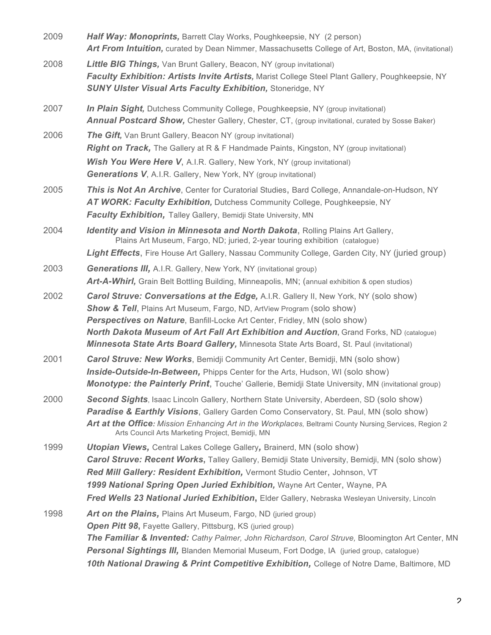| 2009 | Half Way: Monoprints, Barrett Clay Works, Poughkeepsie, NY (2 person)<br>Art From Intuition, curated by Dean Nimmer, Massachusetts College of Art, Boston, MA, (invitational)                                                                                                                                                                                                                                                                              |
|------|------------------------------------------------------------------------------------------------------------------------------------------------------------------------------------------------------------------------------------------------------------------------------------------------------------------------------------------------------------------------------------------------------------------------------------------------------------|
| 2008 | <b>Little BIG Things, Van Brunt Gallery, Beacon, NY (group invitational)</b><br>Faculty Exhibition: Artists Invite Artists, Marist College Steel Plant Gallery, Poughkeepsie, NY<br><b>SUNY Ulster Visual Arts Faculty Exhibition, Stoneridge, NY</b>                                                                                                                                                                                                      |
| 2007 | In Plain Sight, Dutchess Community College, Poughkeepsie, NY (group invitational)<br><b>Annual Postcard Show, Chester Gallery, Chester, CT, (group invitational, curated by Sosse Baker)</b>                                                                                                                                                                                                                                                               |
| 2006 | <b>The Gift, Van Brunt Gallery, Beacon NY (group invitational)</b><br><b>Right on Track,</b> The Gallery at R & F Handmade Paints, Kingston, NY (group invitational)<br><b>Wish You Were Here V, A.I.R. Gallery, New York, NY (group invitational)</b><br><b>Generations V, A.I.R. Gallery, New York, NY (group invitational)</b>                                                                                                                          |
| 2005 | <b>This is Not An Archive, Center for Curatorial Studies, Bard College, Annandale-on-Hudson, NY</b><br>AT WORK: Faculty Exhibition, Dutchess Community College, Poughkeepsie, NY<br><b>Faculty Exhibition, Talley Gallery, Bemidji State University, MN</b>                                                                                                                                                                                                |
| 2004 | <b>Identity and Vision in Minnesota and North Dakota, Rolling Plains Art Gallery,</b><br>Plains Art Museum, Fargo, ND; juried, 2-year touring exhibition (catalogue)<br>Light Effects, Fire House Art Gallery, Nassau Community College, Garden City, NY (juried group)                                                                                                                                                                                    |
| 2003 | <b>Generations III, A.I.R. Gallery, New York, NY (invitational group)</b><br>Art-A-Whirl, Grain Belt Bottling Building, Minneapolis, MN; (annual exhibition & open studios)                                                                                                                                                                                                                                                                                |
| 2002 | Carol Struve: Conversations at the Edge, A.I.R. Gallery II, New York, NY (solo show)<br><b>Show &amp; Tell, Plains Art Museum, Fargo, ND, ArtView Program (solo show)</b><br>Perspectives on Nature, Banfill-Locke Art Center, Fridley, MN (solo show)<br><b>North Dakota Museum of Art Fall Art Exhibition and Auction, Grand Forks, ND (catalogue)</b><br><b>Minnesota State Arts Board Gallery, Minnesota State Arts Board, St. Paul (invitational)</b> |
| 2001 | Carol Struve: New Works, Bemidji Community Art Center, Bemidji, MN (solo show)<br><b>Inside-Outside-In-Between, Phipps Center for the Arts, Hudson, WI (solo show)</b><br><b>Monotype: the Painterly Print</b> , Touche' Gallerie, Bemidji State University, MN (invitational group)                                                                                                                                                                       |
| 2000 | <b>Second Sights</b> , Isaac Lincoln Gallery, Northern State University, Aberdeen, SD (solo show)<br><b>Paradise &amp; Earthly Visions</b> , Gallery Garden Como Conservatory, St. Paul, MN (solo show)<br>Art at the Office: Mission Enhancing Art in the Workplaces, Beltrami County Nursing Services, Region 2<br>Arts Council Arts Marketing Project, Bemidji, MN                                                                                      |
| 1999 | <b>Utopian Views, Central Lakes College Gallery, Brainerd, MN (solo show)</b><br><b>Carol Struve: Recent Works, Talley Gallery, Bemidji State University, Bemidji, MN (solo show)</b><br>Red Mill Gallery: Resident Exhibition, Vermont Studio Center, Johnson, VT<br>1999 National Spring Open Juried Exhibition, Wayne Art Center, Wayne, PA<br>Fred Wells 23 National Juried Exhibition, Elder Gallery, Nebraska Wesleyan University, Lincoln           |
| 1998 | Art on the Plains, Plains Art Museum, Fargo, ND (juried group)<br><b>Open Pitt 98, Fayette Gallery, Pittsburg, KS (juried group)</b><br>The Familiar & Invented: Cathy Palmer, John Richardson, Carol Struve, Bloomington Art Center, MN<br><b>Personal Sightings III,</b> Blanden Memorial Museum, Fort Dodge, IA (juried group, catalogue)<br>10th National Drawing & Print Competitive Exhibition, College of Notre Dame, Baltimore, MD                 |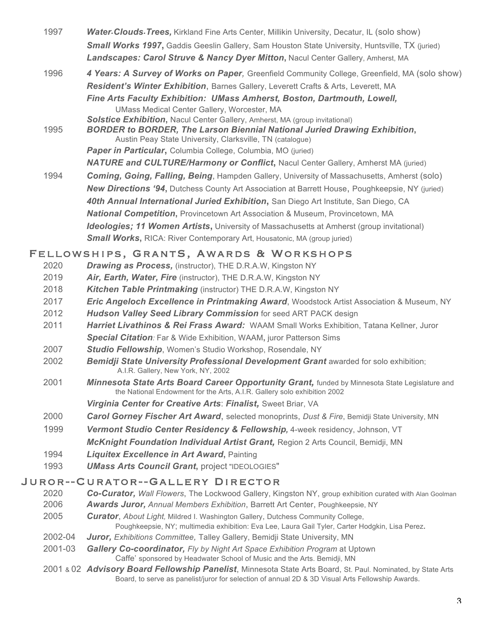- 1997 *Water.Clouds.Trees,* Kirkland Fine Arts Center, Millikin University, Decatur, IL (solo show) *Small Works 1997***,** Gaddis Geeslin Gallery, Sam Houston State University, Huntsville, TX (juried) *Landscapes: Carol Struve & Nancy Dyer Mitton***,** Nacul Center Gallery, Amherst, MA
- 1996 *4 Years: A Survey of Works on Paper,* Greenfield Community College, Greenfield, MA (solo show) *Resident's Winter Exhibition*, Barnes Gallery, Leverett Crafts & Arts, Leverett, MA *Fine Arts Faculty Exhibition: UMass Amherst, Boston, Dartmouth, Lowell,* UMass Medical Center Gallery, Worcester, MA **Solstice Exhibition, Nacul Center Gallery, Amherst, MA (group invitational)**
- 1995 *BORDER to BORDER, The Larson Biennial National Juried Drawing Exhibition***,** Austin Peay State University, Clarksville, TN (catalogue) **Paper in Particular, Columbia College, Columbia, MO (juried)** *NATURE and CULTURE/Harmony or Conflict***,** Nacul Center Gallery, Amherst MA (juried)
- 1994 *Coming, Going, Falling, Being*, Hampden Gallery, University of Massachusetts, Amherst (solo) *New Directions '94***,** Dutchess County Art Association at Barrett House, Poughkeepsie, NY (juried) *40th Annual International Juried Exhibition***,** San Diego Art Institute, San Diego, CA *National Competition***,** Provincetown Art Association & Museum, Provincetown, MA **Ideologies; 11 Women Artists**, University of Massachusetts at Amherst (group invitational) **Small Works, RICA: River Contemporary Art, Housatonic, MA (group juried)**

## Fellowships, GrantS, Awards & Workshops

- 2020 *Drawing as Process,* (instructor), THE D.R.A.W, Kingston NY
- 2019 *Air, Earth, Water, Fire* (instructor), THE D.R.A.W, Kingston NY
- 2018 *Kitchen Table Printmaking* (instructor) THE D.R.A.W, Kingston NY
- 2017 *Eric Angeloch Excellence in Printmaking Award*, Woodstock Artist Association & Museum, NY
- 2012 *Hudson Valley Seed Library Commission* for seed ART PACK design
- 2011 *Harriet Livathinos & Rei Frass Award:* WAAM Small Works Exhibition, Tatana Kellner, Juror *Special Citation:* Far & Wide Exhibition, WAAM**,** juror Patterson Sims
- 2007 *Studio Fellowship*, Women's Studio Workshop, Rosendale, NY
- 2002 *Bemidji State University Professional Development Grant* awarded for solo exhibition; A.I.R. Gallery, New York, NY, 2002
- 2001 **Minnesota State Arts Board Career Opportunity Grant,** funded by Minnesota State Legislature and the National Endowment for the Arts, A.I.R. Gallery solo exhibition 2002 *Virginia Center for Creative Arts*: *Finalist,* Sweet Briar, VA
- 2000 *Carol Gorney Fischer Art Award*, selected monoprints, *Dust & Fire*, Bemidji State University, MN
- 1999 *Vermont Studio Center Residency & Fellowship,* 4-week residency, Johnson, VT *McKnight Foundation Individual Artist Grant,* Region 2 Arts Council, Bemidji, MN
- 1994 **Liquitex Excellence in Art Award**, Painting
- 1993 *UMass Arts Council Grant***,** project "IDEOLOGIES"

## Juror--Curator--Gallery Director

- 2020 *Co-Curator, Wall Flowers*, The Lockwood Gallery, Kingston NY, group exhibition curated with Alan Goolman
- 2006 *Awards Juror, Annual Members Exhibition*, Barrett Art Center, Poughkeepsie, NY
- 2005 *Curator*, *About Light,* Mildred I. Washington Gallery, Dutchess Community College, Poughkeepsie, NY; multimedia exhibition: Eva Lee, Laura Gail Tyler, Carter Hodgkin, Lisa Perez**.**
- 2002-04 *Juror, Exhibitions Committee,* Talley Gallery, Bemidji State University, MN
- 2001-03 *Gallery Co-coordinator, Fly by Night Art Space Exhibition Program* at Uptown Caffe' sponsored by Headwater School of Music and the Arts. Bemidji, MN
- 2001 & 02 *Advisory Board Fellowship Panelist*, Minnesota State Arts Board, St. Paul. Nominated, by State Arts Board, to serve as panelist/juror for selection of annual 2D & 3D Visual Arts Fellowship Awards.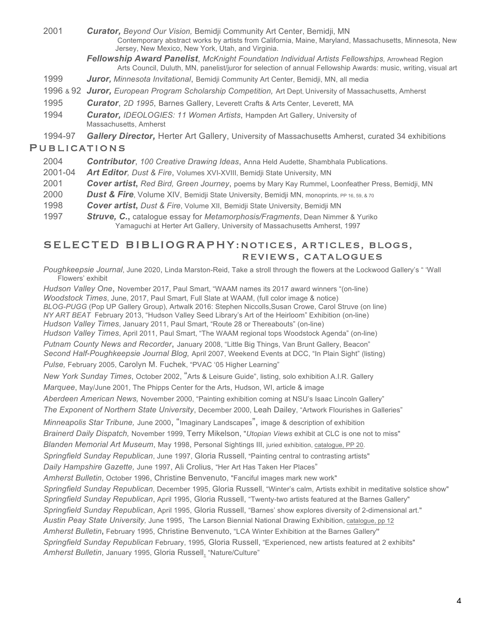2001 *Curator, Beyond Our Vision,* Bemidji Community Art Center, Bemidji, MN Contemporary abstract works by artists from California, Maine, Maryland, Massachusetts, Minnesota, New Jersey, New Mexico, New York, Utah, and Virginia.

> *Fellowship Award Panelist*, *McKnight Foundation Individual Artists Fellowships,* Arrowhead Region Arts Council, Duluth, MN, panelist/juror for selection of annual Fellowship Awards: music, writing, visual art

- 1999 *Juror, Minnesota Invitational*, Bemidji Community Art Center, Bemidji, MN, all media
- 1996 & 92 *Juror, European Program Scholarship Competition,* Art Dept, University of Massachusetts, Amherst
- 1995 *Curator*, *2D 1995*, Barnes Gallery, Leverett Crafts & Arts Center, Leverett, MA
- 1994 *Curator, IDEOLOGIES: 11 Women Artists*, Hampden Art Gallery, University of Massachusetts, Amherst

1994-97 *Gallery Director,* Herter Art Gallery, University of Massachusetts Amherst, curated 34 exhibitions

#### **PUBLICATIONS**

- 2004 *Contributor*, *100 Creative Drawing Ideas*, Anna Held Audette, Shambhala Publications.
- 2001-04 *Art Editor, Dust & Fire*, Volumes XVI-XVIII, Bemidji State University, MN
- 2001 *Cover artist***,** *Red Bird, Green Journey*, poems by Mary Kay Rummel, Loonfeather Press, Bemidji, MN
- 2000 **Dust & Fire**, Volume XIV, Bemidji State University, Bemidji MN, monoprints, PP 16, 59, & 70
- 1998 *Cover artist***,** *Dust & Fire*, Volume XII, Bemidji State University, Bemidji MN
- 1997 *Struve, C.***,** catalogue essay for *Metamorphosis/Fragments*, Dean Nimmer & Yuriko Yamaguchi at Herter Art Gallery, University of Massachusetts Amherst, 1997

### SELECTED BIBLIOGRAPHY:NOTICES, ARTICLES, BLOGS, REVIEWS, CATALOGUES

*Poughkeepsie Journal*, June 2020, Linda Marston-Reid, Take a stroll through the flowers at the Lockwood Gallery's " 'Wall Flowers' exhibit

*Hudson Valley One*, November 2017, Paul Smart, "WAAM names its 2017 award winners "(on-line) *Woodstock Times*, June, 2017, Paul Smart, Full Slate at WAAM, (full color image & notice) *BLOG-PUGG* (Pop UP Gallery Group), Artwalk 2016: Stephen Niccolls,Susan Crowe, Carol Struve (on line) *NY ART BEAT* February 2013, "Hudson Valley Seed Library's Art of the Heirloom" Exhibition (on-line) *Hudson Valley Times*, January 2011, Paul Smart, "Route 28 or Thereabouts" (on-line) *Hudson Valley Times*, April 2011, Paul Smart, "The WAAM regional tops Woodstock Agenda" (on-line) *Putnam County News and Recorder*, January 2008, "Little Big Things, Van Brunt Gallery, Beacon" *Second Half-Poughkeepsie Journal Blog,* April 2007, Weekend Events at DCC, "In Plain Sight" (listing) *Pulse,* February 2005, Carolyn M. Fuchek, "PVAC '05 Higher Learning" *New York Sunday Times*, October 2002, "Arts & Leisure Guide", listing, solo exhibition A.I.R. Gallery *Marquee*, May/June 2001, The Phipps Center for the Arts, Hudson, WI, article & image *Aberdeen American News,* November 2000, "Painting exhibition coming at NSU's Isaac Lincoln Gallery" *The Exponent of Northern State University*, December 2000, Leah Dailey, "Artwork Flourishes in Galleries" *Minneapolis Star Tribune,* June 2000, "Imaginary Landscapes", image & description of exhibition *Brainerd Daily Dispatch,* November 1999, Terry Mikelson, "*Utopian Views* exhibit at CLC is one not to miss" *Blanden Memorial Art Museum*, May 1998, Personal Sightings III, juried exhibition, catalogue, PP 20.

*Springfield Sunday Republican*, June 1997, Gloria Russell, "Painting central to contrasting artists"

*Daily Hampshire Gazette,* June 1997, Ali Crolius, "Her Art Has Taken Her Places"

*Amherst Bulletin*, October 1996, Christine Benvenuto, "Fanciful images mark new work"

*Springfield Sunday Republican,* December 1995, Gloria Russell, "Winter's calm, Artists exhibit in meditative solstice show"

*Springfield Sunday Republican*, April 1995, Gloria Russell, "Twenty-two artists featured at the Barnes Gallery"

*Springfield Sunday Republican*, April 1995, Gloria Russell, "Barnes' show explores diversity of 2-dimensional art."

*Austin Peay State University,* June 1995, The Larson Biennial National Drawing Exhibition, catalogue, pp 12

*Amherst Bulletin***,** February 1995, Christine Benvenuto, "LCA Winter Exhibition at the Barnes Gallery**"**

*Springfield Sunday Republican* February, 1995*,* Gloria Russell, "Experienced, new artists featured at 2 exhibits" *Amherst Bulletin*, January 1995, Gloria Russell, "Nature/Culture"